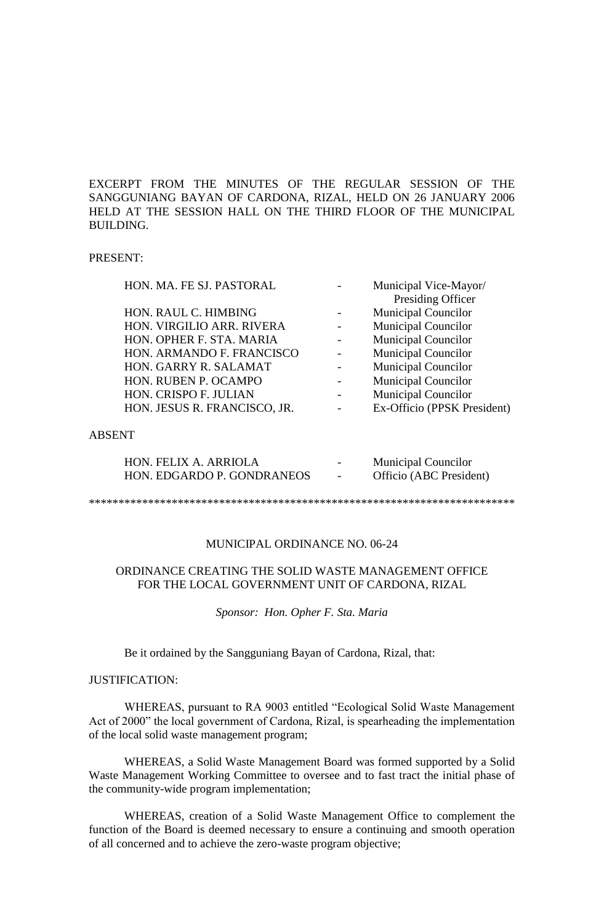EXCERPT FROM THE MINUTES OF THE REGULAR SESSION OF THE SANGGUNIANG BAYAN OF CARDONA, RIZAL, HELD ON 26 JANUARY 2006 HELD AT THE SESSION HALL ON THE THIRD FLOOR OF THE MUNICIPAL BUILDING.

#### PRESENT:

| HON. MA. FE SJ. PASTORAL     | Municipal Vice-Mayor/       |
|------------------------------|-----------------------------|
|                              | Presiding Officer           |
| HON. RAUL C. HIMBING         | <b>Municipal Councilor</b>  |
| HON. VIRGILIO ARR. RIVERA    | <b>Municipal Councilor</b>  |
| HON. OPHER F. STA. MARIA     | <b>Municipal Councilor</b>  |
| HON. ARMANDO F. FRANCISCO    | <b>Municipal Councilor</b>  |
| HON. GARRY R. SALAMAT        | <b>Municipal Councilor</b>  |
| HON. RUBEN P. OCAMPO         | <b>Municipal Councilor</b>  |
| HON. CRISPO F. JULIAN        | <b>Municipal Councilor</b>  |
| HON. JESUS R. FRANCISCO, JR. | Ex-Officio (PPSK President) |
|                              |                             |
| <b>ABSENT</b>                |                             |
|                              |                             |

| HON. FELIX A. ARRIOLA      | $\overline{\phantom{0}}$ | <b>Municipal Councilor</b> |
|----------------------------|--------------------------|----------------------------|
| HON. EDGARDO P. GONDRANEOS |                          | Officio (ABC President)    |

\*\*\*\*\*\*\*\*\*\*\*\*\*\*\*\*\*\*\*\*\*\*\*\*\*\*\*\*\*\*\*\*\*\*\*\*\*\*\*\*\*\*\*\*\*\*\*\*\*\*\*\*\*\*\*\*\*\*\*\*\*\*\*\*\*\*\*\*\*\*\*\*

### MUNICIPAL ORDINANCE NO. 06-24

# ORDINANCE CREATING THE SOLID WASTE MANAGEMENT OFFICE FOR THE LOCAL GOVERNMENT UNIT OF CARDONA, RIZAL

*Sponsor: Hon. Opher F. Sta. Maria*

Be it ordained by the Sangguniang Bayan of Cardona, Rizal, that:

### JUSTIFICATION:

WHEREAS, pursuant to RA 9003 entitled "Ecological Solid Waste Management Act of 2000" the local government of Cardona, Rizal, is spearheading the implementation of the local solid waste management program;

WHEREAS, a Solid Waste Management Board was formed supported by a Solid Waste Management Working Committee to oversee and to fast tract the initial phase of the community-wide program implementation;

WHEREAS, creation of a Solid Waste Management Office to complement the function of the Board is deemed necessary to ensure a continuing and smooth operation of all concerned and to achieve the zero-waste program objective;